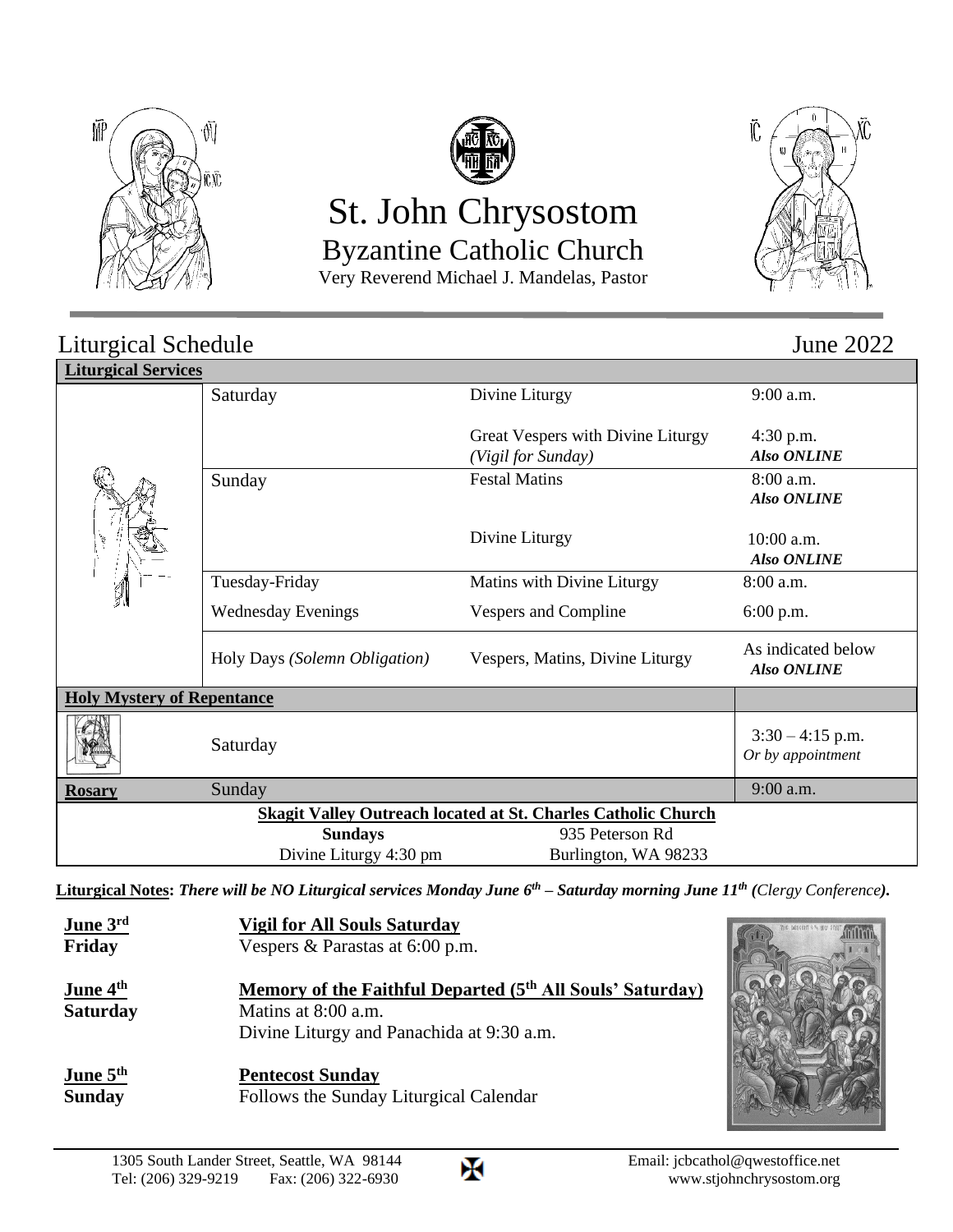



# St. John Chrysostom Byzantine Catholic Church

Very Reverend Michael J. Mandelas, Pastor



#### Liturgical Schedule June 2022 **Liturgical Services** Saturday Divine Liturgy Great Vespers with Divine Liturgy *(Vigil for Sunday)* 9:00 a.m. 4:30 p.m.  *Also ONLINE* Sunday Festal Matins Divine Liturgy 8:00 a.m.  *Also ONLINE*  $10:00$  a.m.  *Also ONLINE* Tuesday-Friday Wednesday Evenings Matins with Divine Liturgy Vespers and Compline 8:00 a.m. 6:00 p.m. Holy Days *(Solemn Obligation)* Vespers, Matins, Divine Liturgy As indicated below  *Also ONLINE* **Holy Mystery of Repentance** Saturday  $3:30 - 4:15$  p.m. *Or by appointment* **Rosary** Sunday 9:00 a.m. **Skagit Valley Outreach located at St. Charles Catholic Church Sundays** 935 Peterson Rd Divine Liturgy 4:30 pm Burlington, WA 98233

**Liturgical Notes:** *There will be NO Liturgical services Monday June 6th – Saturday morning June 11th (Clergy Conference).*

| June 3 <sup>rd</sup><br>Friday                          | <b>Vigil for All Souls Saturday</b><br>Vespers & Parastas at 6:00 p.m.                                                                    |  |
|---------------------------------------------------------|-------------------------------------------------------------------------------------------------------------------------------------------|--|
| <u>June 4<sup>th</sup></u><br><b>Saturday</b>           | Memory of the Faithful Departed (5 <sup>th</sup> All Souls' Saturday)<br>Matins at 8:00 a.m.<br>Divine Liturgy and Panachida at 9:30 a.m. |  |
| <u>June <math>5^{\text{th}}</math></u><br><b>Sunday</b> | <b>Pentecost Sunday</b><br>Follows the Sunday Liturgical Calendar                                                                         |  |

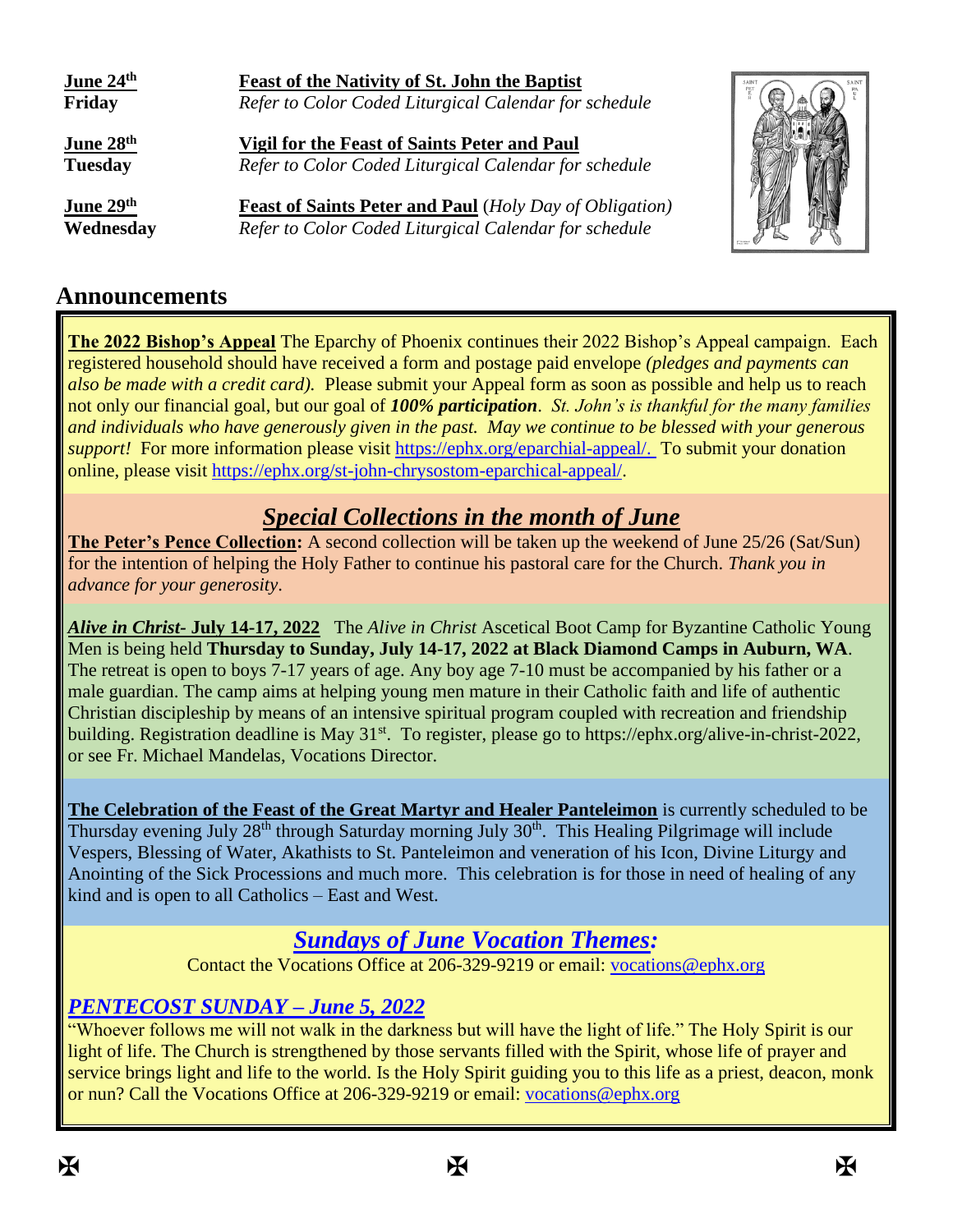| June 24th<br>Friday                     | Feast of the Nativity of St. John the Baptist<br>Refer to Color Coded Liturgical Calendar for schedule                  |  |
|-----------------------------------------|-------------------------------------------------------------------------------------------------------------------------|--|
| June 28 <sup>th</sup><br><b>Tuesday</b> | <b>Vigil for the Feast of Saints Peter and Paul</b><br>Refer to Color Coded Liturgical Calendar for schedule            |  |
| June 29th<br>Wednesday                  | <b>Feast of Saints Peter and Paul</b> (Holy Day of Obligation)<br>Refer to Color Coded Liturgical Calendar for schedule |  |

### **Announcements**

**The 2022 Bishop's Appeal** The Eparchy of Phoenix continues their 2022 Bishop's Appeal campaign. Each registered household should have received a form and postage paid envelope *(pledges and payments can also be made with a credit card).* Please submit your Appeal form as soon as possible and help us to reach not only our financial goal, but our goal of *100% participation*. *St. John's is thankful for the many families and individuals who have generously given in the past. May we continue to be blessed with your generous support!* For more information please visit [https://ephx.org/eparchial-appeal/.](https://ephx.org/eparchial-appeal/) To submit your donation online, please visit [https://ephx.org/st-john-chrysostom-eparchical-appeal/.](https://ephx.org/st-john-chrysostom-eparchical-appeal/)

# *Special Collections in the month of June*

**The Peter's Pence Collection:** A second collection will be taken up the weekend of June 25/26 (Sat/Sun) for the intention of helping the Holy Father to continue his pastoral care for the Church. *Thank you in advance for your generosity*.

*Alive in Christ-* **July 14-17, 2022** The *Alive in Christ* Ascetical Boot Camp for Byzantine Catholic Young Men is being held **Thursday to Sunday, July 14-17, 2022 at Black Diamond Camps in Auburn, WA**. The retreat is open to boys 7-17 years of age. Any boy age 7-10 must be accompanied by his father or a male guardian. The camp aims at helping young men mature in their Catholic faith and life of authentic Christian discipleship by means of an intensive spiritual program coupled with recreation and friendship building. Registration deadline is May  $31<sup>st</sup>$ . To register, please go to https://ephx.org/alive-in-christ-2022, or see Fr. Michael Mandelas, Vocations Director.

**The Celebration of the Feast of the Great Martyr and Healer Panteleimon** is currently scheduled to be Thursday evening July  $28<sup>th</sup>$  through Saturday morning July  $30<sup>th</sup>$ . This Healing Pilgrimage will include Vespers, Blessing of Water, Akathists to St. Panteleimon and veneration of his Icon, Divine Liturgy and Anointing of the Sick Processions and much more. This celebration is for those in need of healing of any kind and is open to all Catholics – East and West.

# *Sundays of June Vocation Themes:*

Contact the Vocations Office at 206-329-9219 or email: [vocations@ephx.org](mailto:vocations@ephx.org) 

### *PENTECOST SUNDAY – June 5, 2022*

"Whoever follows me will not walk in the darkness but will have the light of life." The Holy Spirit is our light of life. The Church is strengthened by those servants filled with the Spirit, whose life of prayer and service brings light and life to the world. Is the Holy Spirit guiding you to this life as a priest, deacon, monk or nun? Call the Vocations Office at 206-329-9219 or email: [vocations@ephx.org](mailto:vocations@ephx.org)